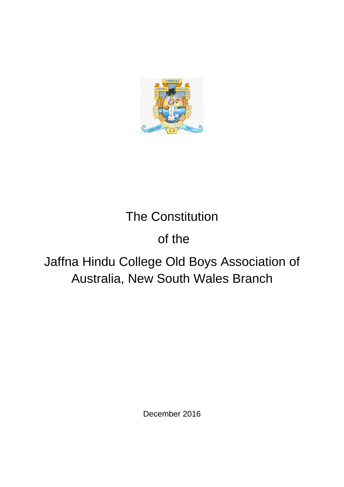

# The Constitution

# of the

# Jaffna Hindu College Old Boys Association of Australia, New South Wales Branch

December 2016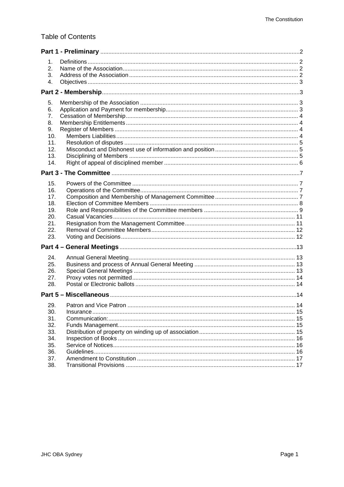# **Table of Contents**

| 1.<br>2.<br>3.<br>4.<br>5.<br>6.<br>7.<br>8.<br>9.<br>10.<br>11.<br>12.<br>13.<br>14.<br>15.<br>16.<br>17.<br>18.<br>19. |
|--------------------------------------------------------------------------------------------------------------------------|
|                                                                                                                          |
|                                                                                                                          |
|                                                                                                                          |
|                                                                                                                          |
|                                                                                                                          |
|                                                                                                                          |
|                                                                                                                          |
|                                                                                                                          |
|                                                                                                                          |
|                                                                                                                          |
|                                                                                                                          |
|                                                                                                                          |
|                                                                                                                          |
|                                                                                                                          |
|                                                                                                                          |
|                                                                                                                          |
|                                                                                                                          |
|                                                                                                                          |
|                                                                                                                          |
|                                                                                                                          |
| 20.                                                                                                                      |
| 21.                                                                                                                      |
| 22.<br>23.                                                                                                               |
|                                                                                                                          |
|                                                                                                                          |
| 24.                                                                                                                      |
| 25.                                                                                                                      |
| 26.                                                                                                                      |
| 27.                                                                                                                      |
| 28.                                                                                                                      |
|                                                                                                                          |
| 29.<br>14                                                                                                                |
| 30.                                                                                                                      |
| 31.                                                                                                                      |
| 32.                                                                                                                      |
| 33.                                                                                                                      |
| 34.                                                                                                                      |
| 35.                                                                                                                      |
| 36.<br>37.                                                                                                               |
| 38.                                                                                                                      |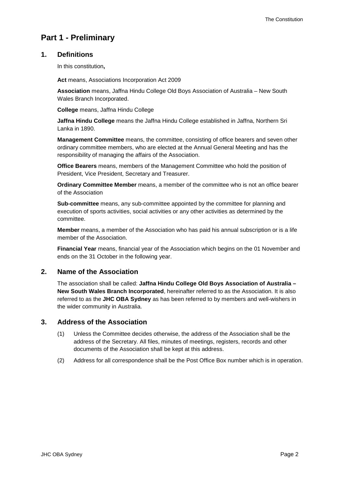# <span id="page-2-0"></span>**Part 1 - Preliminary**

# <span id="page-2-1"></span>**1. Definitions**

In this constitution**,**

**Act** means, Associations Incorporation Act 2009

**Association** means, Jaffna Hindu College Old Boys Association of Australia – New South Wales Branch Incorporated.

**College** means, Jaffna Hindu College

**Jaffna Hindu College** means the Jaffna Hindu College established in Jaffna, Northern Sri Lanka in 1890.

**Management Committee** means, the committee, consisting of office bearers and seven other ordinary committee members, who are elected at the Annual General Meeting and has the responsibility of managing the affairs of the Association.

**Office Bearers** means, members of the Management Committee who hold the position of President, Vice President, Secretary and Treasurer.

**Ordinary Committee Member** means, a member of the committee who is not an office bearer of the Association

**Sub-committee** means, any sub-committee appointed by the committee for planning and execution of sports activities, social activities or any other activities as determined by the committee.

**Member** means, a member of the Association who has paid his annual subscription or is a life member of the Association.

**Financial Year** means, financial year of the Association which begins on the 01 November and ends on the 31 October in the following year.

# <span id="page-2-2"></span>**2. Name of the Association**

The association shall be called: **Jaffna Hindu College Old Boys Association of Australia – New South Wales Branch Incorporated**, hereinafter referred to as the Association. It is also referred to as the **JHC OBA Sydney** as has been referred to by members and well-wishers in the wider community in Australia.

# <span id="page-2-3"></span>**3. Address of the Association**

- (1) Unless the Committee decides otherwise, the address of the Association shall be the address of the Secretary. All files, minutes of meetings, registers, records and other documents of the Association shall be kept at this address.
- (2) Address for all correspondence shall be the Post Office Box number which is in operation.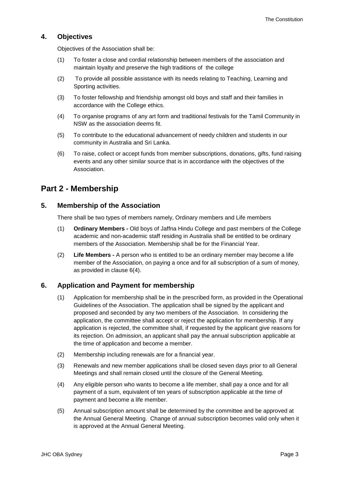# <span id="page-3-0"></span>**4. Objectives**

Objectives of the Association shall be:

- (1) To foster a close and cordial relationship between members of the association and maintain loyalty and preserve the high traditions of the college
- (2) To provide all possible assistance with its needs relating to Teaching, Learning and Sporting activities.
- (3) To foster fellowship and friendship amongst old boys and staff and their families in accordance with the College ethics.
- (4) To organise programs of any art form and traditional festivals for the Tamil Community in NSW as the association deems fit.
- (5) To contribute to the educational advancement of needy children and students in our community in Australia and Sri Lanka.
- (6) To raise, collect or accept funds from member subscriptions, donations, gifts, fund raising events and any other similar source that is in accordance with the objectives of the Association.

# <span id="page-3-1"></span>**Part 2 - Membership**

# <span id="page-3-2"></span>**5. Membership of the Association**

There shall be two types of members namely, Ordinary members and Life members

- (1) **Ordinary Members -** Old boys of Jaffna Hindu College and past members of the College academic and non-academic staff residing in Australia shall be entitled to be ordinary members of the Association. Membership shall be for the Financial Year.
- (2) **Life Members -** A person who is entitled to be an ordinary member may become a life member of the Association, on paying a once and for all subscription of a sum of money, as provided in clause 6(4).

# <span id="page-3-3"></span>**6. Application and Payment for membership**

- (1) Application for membership shall be in the prescribed form, as provided in the Operational Guidelines of the Association. The application shall be signed by the applicant and proposed and seconded by any two members of the Association. In considering the application, the committee shall accept or reject the application for membership. If any application is rejected, the committee shall, if requested by the applicant give reasons for its rejection. On admission, an applicant shall pay the annual subscription applicable at the time of application and become a member.
- (2) Membership including renewals are for a financial year.
- (3) Renewals and new member applications shall be closed seven days prior to all General Meetings and shall remain closed until the closure of the General Meeting.
- (4) Any eligible person who wants to become a life member, shall pay a once and for all payment of a sum, equivalent of ten years of subscription applicable at the time of payment and become a life member.
- (5) Annual subscription amount shall be determined by the committee and be approved at the Annual General Meeting. Change of annual subscription becomes valid only when it is approved at the Annual General Meeting.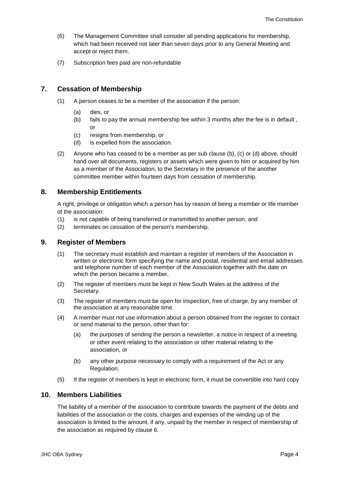- (6) The Management Committee shall consider all pending applications for membership, which had been received not later than seven days prior to any General Meeting and accept or reject them.
- (7) Subscription fees paid are non-refundable

# <span id="page-4-0"></span>**7. Cessation of Membership**

- (1) A person ceases to be a member of the association if the person:
	- (a) dies, or
	- (b) fails to pay the annual membership fee within 3 months after the fee is in default , or
	- (c) resigns from membership, or
	- (d) is expelled from the association.
- (2) Anyone who has ceased to be a member as per sub clause (b), (c) or (d) above, should hand over all documents, registers or assets which were given to him or acquired by him as a member of the Association, to the Secretary in the presence of the another committee member within fourteen days from cessation of membership.

# <span id="page-4-1"></span>**8. Membership Entitlements**

A right, privilege or obligation which a person has by reason of being a member or life member of the association:

- (1) is not capable of being transferred or transmitted to another person, and
- (2) terminates on cessation of the person's membership.

# <span id="page-4-2"></span>**9. Register of Members**

- (1) The secretary must establish and maintain a register of members of the Association in written or electronic form specifying the name and postal, residential and email addresses and telephone number of each member of the Association together with the date on which the person became a member.
- (2) The register of members must be kept in New South Wales at the address of the Secretary.
- (3) The register of members must be open for inspection, free of charge, by any member of the association at any reasonable time.
- (4) A member must not use information about a person obtained from the register to contact or send material to the person, other than for:
	- (a) the purposes of sending the person a newsletter, a notice in respect of a meeting or other event relating to the association or other material relating to the association, or
	- (b) any other purpose necessary to comply with a requirement of the Act or any Regulation.
- (5) If the register of members is kept in electronic form, it must be convertible into hard copy

# <span id="page-4-3"></span>**10. Members Liabilities**

The liability of a member of the association to contribute towards the payment of the debts and liabilities of the association or the costs, charges and expenses of the winding up of the association is limited to the amount, if any, unpaid by the member in respect of membership of the association as required by clause 6.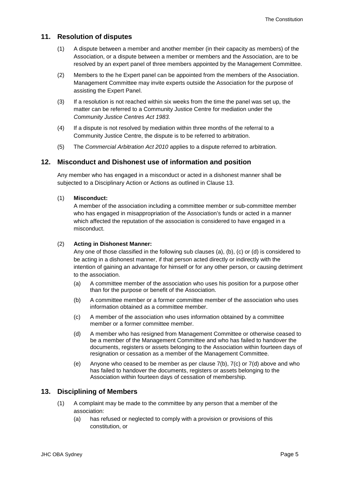# <span id="page-5-0"></span>**11. Resolution of disputes**

- (1) A dispute between a member and another member (in their capacity as members) of the Association, or a dispute between a member or members and the Association, are to be resolved by an expert panel of three members appointed by the Management Committee.
- (2) Members to the he Expert panel can be appointed from the members of the Association. Management Committee may invite experts outside the Association for the purpose of assisting the Expert Panel.
- (3) If a resolution is not reached within six weeks from the time the panel was set up, the matter can be referred to a Community Justice Centre for mediation under the *Community Justice Centres Act 1983*.
- (4) If a dispute is not resolved by mediation within three months of the referral to a Community Justice Centre, the dispute is to be referred to arbitration.
- (5) The *Commercial Arbitration Act 2010* applies to a dispute referred to arbitration.

#### <span id="page-5-1"></span>**12. Misconduct and Dishonest use of information and position**

Any member who has engaged in a misconduct or acted in a dishonest manner shall be subjected to a Disciplinary Action or Actions as outlined in Clause 13.

#### (1) **Misconduct:**

A member of the association including a committee member or sub-committee member who has engaged in misappropriation of the Association's funds or acted in a manner which affected the reputation of the association is considered to have engaged in a misconduct.

#### (2) **Acting in Dishonest Manner:**

Any one of those classified in the following sub clauses (a), (b), (c) or (d) is considered to be acting in a dishonest manner, if that person acted directly or indirectly with the intention of gaining an advantage for himself or for any other person, or causing detriment to the association.

- (a) A committee member of the association who uses his position for a purpose other than for the purpose or benefit of the Association.
- (b) A committee member or a former committee member of the association who uses information obtained as a committee member.
- (c) A member of the association who uses information obtained by a committee member or a former committee member.
- (d) A member who has resigned from Management Committee or otherwise ceased to be a member of the Management Committee and who has failed to handover the documents, registers or assets belonging to the Association within fourteen days of resignation or cessation as a member of the Management Committee.
- (e) Anyone who ceased to be member as per clause 7(b), 7(c) or 7(d) above and who has failed to handover the documents, registers or assets belonging to the Association within fourteen days of cessation of membership.

#### <span id="page-5-2"></span>**13. Disciplining of Members**

- (1) A complaint may be made to the committee by any person that a member of the association:
	- (a) has refused or neglected to comply with a provision or provisions of this constitution, or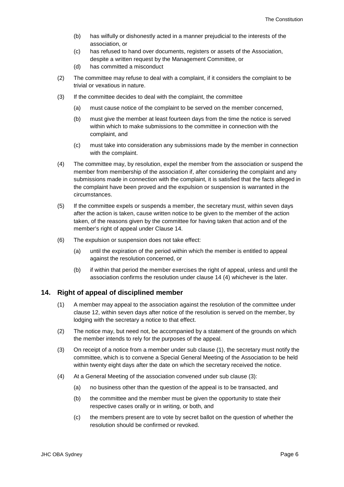- (b) has wilfully or dishonestly acted in a manner prejudicial to the interests of the association, or
- (c) has refused to hand over documents, registers or assets of the Association, despite a written request by the Management Committee, or

(d) has committed a misconduct

- (2) The committee may refuse to deal with a complaint, if it considers the complaint to be trivial or vexatious in nature.
- (3) If the committee decides to deal with the complaint, the committee
	- (a) must cause notice of the complaint to be served on the member concerned,
	- (b) must give the member at least fourteen days from the time the notice is served within which to make submissions to the committee in connection with the complaint, and
	- (c) must take into consideration any submissions made by the member in connection with the complaint.
- (4) The committee may, by resolution, expel the member from the association or suspend the member from membership of the association if, after considering the complaint and any submissions made in connection with the complaint, it is satisfied that the facts alleged in the complaint have been proved and the expulsion or suspension is warranted in the circumstances.
- (5) If the committee expels or suspends a member, the secretary must, within seven days after the action is taken, cause written notice to be given to the member of the action taken, of the reasons given by the committee for having taken that action and of the member's right of appeal under Clause 14.
- (6) The expulsion or suspension does not take effect:
	- (a) until the expiration of the period within which the member is entitled to appeal against the resolution concerned, or
	- (b) if within that period the member exercises the right of appeal, unless and until the association confirms the resolution under clause 14 (4) whichever is the later.

#### <span id="page-6-0"></span>**14. Right of appeal of disciplined member**

- (1) A member may appeal to the association against the resolution of the committee under clause 12, within seven days after notice of the resolution is served on the member, by lodging with the secretary a notice to that effect.
- (2) The notice may, but need not, be accompanied by a statement of the grounds on which the member intends to rely for the purposes of the appeal.
- (3) On receipt of a notice from a member under sub clause (1), the secretary must notify the committee, which is to convene a Special General Meeting of the Association to be held within twenty eight days after the date on which the secretary received the notice.
- (4) At a General Meeting of the association convened under sub clause (3):
	- (a) no business other than the question of the appeal is to be transacted, and
	- (b) the committee and the member must be given the opportunity to state their respective cases orally or in writing, or both, and
	- (c) the members present are to vote by secret ballot on the question of whether the resolution should be confirmed or revoked.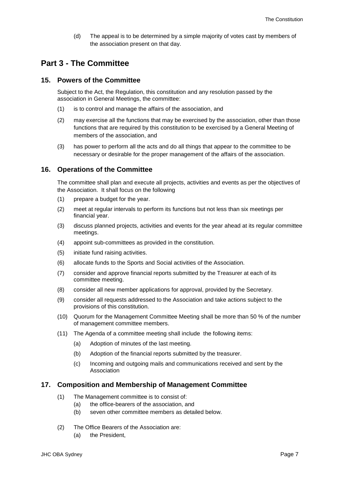(d) The appeal is to be determined by a simple majority of votes cast by members of the association present on that day.

# <span id="page-7-0"></span>**Part 3 - The Committee**

## <span id="page-7-1"></span>**15. Powers of the Committee**

Subject to the Act, the Regulation, this constitution and any resolution passed by the association in General Meetings, the committee:

- (1) is to control and manage the affairs of the association, and
- (2) may exercise all the functions that may be exercised by the association, other than those functions that are required by this constitution to be exercised by a General Meeting of members of the association, and
- (3) has power to perform all the acts and do all things that appear to the committee to be necessary or desirable for the proper management of the affairs of the association.

## <span id="page-7-2"></span>**16. Operations of the Committee**

The committee shall plan and execute all projects, activities and events as per the objectives of the Association. It shall focus on the following

- (1) prepare a budget for the year.
- (2) meet at regular intervals to perform its functions but not less than six meetings per financial year.
- (3) discuss planned projects, activities and events for the year ahead at its regular committee meetings.
- (4) appoint sub-committees as provided in the constitution.
- (5) initiate fund raising activities.
- (6) allocate funds to the Sports and Social activities of the Association.
- (7) consider and approve financial reports submitted by the Treasurer at each of its committee meeting.
- (8) consider all new member applications for approval, provided by the Secretary.
- (9) consider all requests addressed to the Association and take actions subject to the provisions of this constitution.
- (10) Quorum for the Management Committee Meeting shall be more than 50 % of the number of management committee members.
- (11) The Agenda of a committee meeting shall include the following items:
	- (a) Adoption of minutes of the last meeting.
	- (b) Adoption of the financial reports submitted by the treasurer.
	- (c) Incoming and outgoing mails and communications received and sent by the Association

#### <span id="page-7-3"></span>**17. Composition and Membership of Management Committee**

- (1) The Management committee is to consist of:
	- (a) the office-bearers of the association, and
	- (b) seven other committee members as detailed below.
- (2) The Office Bearers of the Association are:
	- (a) the President,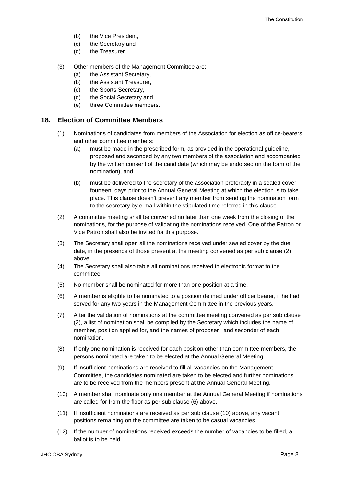- (b) the Vice President,
- (c) the Secretary and
- (d) the Treasurer.
- (3) Other members of the Management Committee are:
	- (a) the Assistant Secretary,
	- (b) the Assistant Treasurer,
	- (c) the Sports Secretary,
	- (d) the Social Secretary and
	- (e) three Committee members.

## <span id="page-8-0"></span>**18. Election of Committee Members**

- (1) Nominations of candidates from members of the Association for election as office-bearers and other committee members:
	- (a) must be made in the prescribed form, as provided in the operational guideline, proposed and seconded by any two members of the association and accompanied by the written consent of the candidate (which may be endorsed on the form of the nomination), and
	- (b) must be delivered to the secretary of the association preferably in a sealed cover fourteen days prior to the Annual General Meeting at which the election is to take place. This clause doesn't prevent any member from sending the nomination form to the secretary by e-mail within the stipulated time referred in this clause.
- (2) A committee meeting shall be convened no later than one week from the closing of the nominations, for the purpose of validating the nominations received. One of the Patron or Vice Patron shall also be invited for this purpose.
- (3) The Secretary shall open all the nominations received under sealed cover by the due date, in the presence of those present at the meeting convened as per sub clause (2) above.
- (4) The Secretary shall also table all nominations received in electronic format to the committee.
- (5) No member shall be nominated for more than one position at a time.
- (6) A member is eligible to be nominated to a position defined under officer bearer, if he had served for any two years in the Management Committee in the previous years.
- (7) After the validation of nominations at the committee meeting convened as per sub clause (2), a list of nomination shall be compiled by the Secretary which includes the name of member, position applied for, and the names of proposer and seconder of each nomination.
- (8) If only one nomination is received for each position other than committee members, the persons nominated are taken to be elected at the Annual General Meeting.
- (9) If insufficient nominations are received to fill all vacancies on the Management Committee, the candidates nominated are taken to be elected and further nominations are to be received from the members present at the Annual General Meeting.
- (10) A member shall nominate only one member at the Annual General Meeting if nominations are called for from the floor as per sub clause (6) above.
- (11) If insufficient nominations are received as per sub clause (10) above, any vacant positions remaining on the committee are taken to be casual vacancies.
- (12) If the number of nominations received exceeds the number of vacancies to be filled, a ballot is to be held.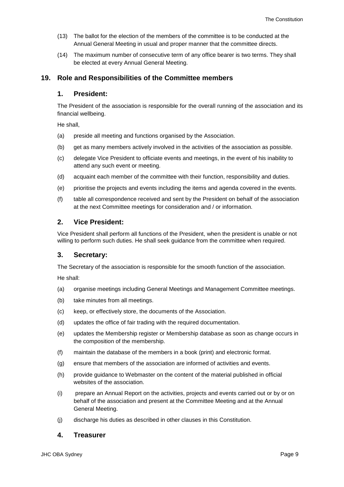- (13) The ballot for the election of the members of the committee is to be conducted at the Annual General Meeting in usual and proper manner that the committee directs.
- (14) The maximum number of consecutive term of any office bearer is two terms. They shall be elected at every Annual General Meeting.

# <span id="page-9-0"></span>**19. Role and Responsibilities of the Committee members**

# **1. President:**

The President of the association is responsible for the overall running of the association and its financial wellbeing.

He shall,

- (a) preside all meeting and functions organised by the Association.
- (b) get as many members actively involved in the activities of the association as possible.
- (c) delegate Vice President to officiate events and meetings, in the event of his inability to attend any such event or meeting.
- (d) acquaint each member of the committee with their function, responsibility and duties.
- (e) prioritise the projects and events including the items and agenda covered in the events.
- (f) table all correspondence received and sent by the President on behalf of the association at the next Committee meetings for consideration and / or information.

# **2. Vice President:**

Vice President shall perform all functions of the President, when the president is unable or not willing to perform such duties. He shall seek guidance from the committee when required.

# **3. Secretary:**

The Secretary of the association is responsible for the smooth function of the association.

He shall:

- (a) organise meetings including General Meetings and Management Committee meetings.
- (b) take minutes from all meetings.
- (c) keep, or effectively store, the documents of the Association.
- (d) updates the office of fair trading with the required documentation.
- (e) updates the Membership register or Membership database as soon as change occurs in the composition of the membership.
- (f) maintain the database of the members in a book (print) and electronic format.
- (g) ensure that members of the association are informed of activities and events.
- (h) provide guidance to Webmaster on the content of the material published in official websites of the association.
- (i) prepare an Annual Report on the activities, projects and events carried out or by or on behalf of the association and present at the Committee Meeting and at the Annual General Meeting.
- (j) discharge his duties as described in other clauses in this Constitution.

# **4. Treasurer**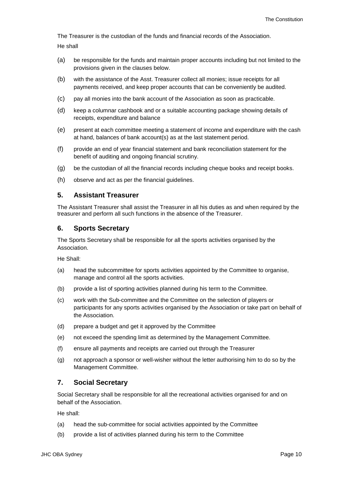The Treasurer is the custodian of the funds and financial records of the Association. He shall

- (a) be responsible for the funds and maintain proper accounts including but not limited to the provisions given in the clauses below.
- (b) with the assistance of the Asst. Treasurer collect all monies; issue receipts for all payments received, and keep proper accounts that can be conveniently be audited.
- (c) pay all monies into the bank account of the Association as soon as practicable.
- (d) keep a columnar cashbook and or a suitable accounting package showing details of receipts, expenditure and balance
- (e) present at each committee meeting a statement of income and expenditure with the cash at hand, balances of bank account(s) as at the last statement period.
- (f) provide an end of year financial statement and bank reconciliation statement for the benefit of auditing and ongoing financial scrutiny.
- (g) be the custodian of all the financial records including cheque books and receipt books.
- (h) observe and act as per the financial guidelines.

# **5. Assistant Treasurer**

The Assistant Treasurer shall assist the Treasurer in all his duties as and when required by the treasurer and perform all such functions in the absence of the Treasurer.

# **6. Sports Secretary**

The Sports Secretary shall be responsible for all the sports activities organised by the Association.

He Shall:

- (a) head the subcommittee for sports activities appointed by the Committee to organise, manage and control all the sports activities.
- (b) provide a list of sporting activities planned during his term to the Committee.
- (c) work with the Sub-committee and the Committee on the selection of players or participants for any sports activities organised by the Association or take part on behalf of the Association.
- (d) prepare a budget and get it approved by the Committee
- (e) not exceed the spending limit as determined by the Management Committee.
- (f) ensure all payments and receipts are carried out through the Treasurer
- (g) not approach a sponsor or well-wisher without the letter authorising him to do so by the Management Committee.

# **7. Social Secretary**

Social Secretary shall be responsible for all the recreational activities organised for and on behalf of the Association.

He shall:

- (a) head the sub-committee for social activities appointed by the Committee
- (b) provide a list of activities planned during his term to the Committee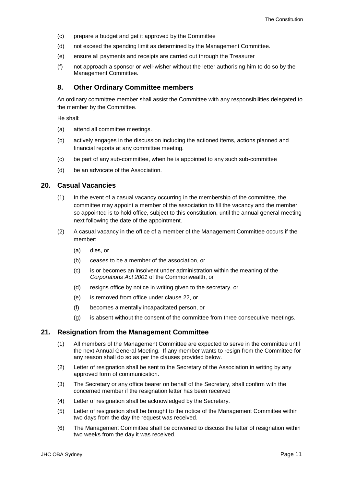- (c) prepare a budget and get it approved by the Committee
- (d) not exceed the spending limit as determined by the Management Committee.
- (e) ensure all payments and receipts are carried out through the Treasurer
- (f) not approach a sponsor or well-wisher without the letter authorising him to do so by the Management Committee.

#### **8. Other Ordinary Committee members**

An ordinary committee member shall assist the Committee with any responsibilities delegated to the member by the Committee.

He shall:

- (a) attend all committee meetings.
- (b) actively engages in the discussion including the actioned items, actions planned and financial reports at any committee meeting.
- (c) be part of any sub-committee, when he is appointed to any such sub-committee
- (d) be an advocate of the Association.

#### <span id="page-11-0"></span>**20. Casual Vacancies**

- (1) In the event of a casual vacancy occurring in the membership of the committee, the committee may appoint a member of the association to fill the vacancy and the member so appointed is to hold office, subject to this constitution, until the annual general meeting next following the date of the appointment.
- (2) A casual vacancy in the office of a member of the Management Committee occurs if the member:
	- (a) dies, or
	- (b) ceases to be a member of the association, or
	- (c) is or becomes an insolvent under administration within the meaning of the *[Corporations Act 2001](http://www.comlaw.gov.au/)* of the Commonwealth, or
	- (d) resigns office by notice in writing given to the secretary, or
	- (e) is removed from office under clause 22, or
	- (f) becomes a mentally incapacitated person, or
	- (g) is absent without the consent of the committee from three consecutive meetings.

#### <span id="page-11-1"></span>**21. Resignation from the Management Committee**

- (1) All members of the Management Committee are expected to serve in the committee until the next Annual General Meeting. If any member wants to resign from the Committee for any reason shall do so as per the clauses provided below.
- (2) Letter of resignation shall be sent to the Secretary of the Association in writing by any approved form of communication.
- (3) The Secretary or any office bearer on behalf of the Secretary, shall confirm with the concerned member if the resignation letter has been received
- (4) Letter of resignation shall be acknowledged by the Secretary.
- (5) Letter of resignation shall be brought to the notice of the Management Committee within two days from the day the request was received.
- (6) The Management Committee shall be convened to discuss the letter of resignation within two weeks from the day it was received.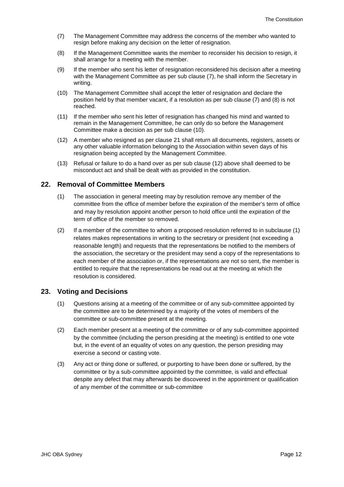- (7) The Management Committee may address the concerns of the member who wanted to resign before making any decision on the letter of resignation.
- (8) If the Management Committee wants the member to reconsider his decision to resign, it shall arrange for a meeting with the member.
- (9) If the member who sent his letter of resignation reconsidered his decision after a meeting with the Management Committee as per sub clause (7), he shall inform the Secretary in writing.
- (10) The Management Committee shall accept the letter of resignation and declare the position held by that member vacant, if a resolution as per sub clause (7) and (8) is not reached.
- (11) If the member who sent his letter of resignation has changed his mind and wanted to remain in the Management Committee, he can only do so before the Management Committee make a decision as per sub clause (10).
- (12) A member who resigned as per clause 21 shall return all documents, registers, assets or any other valuable information belonging to the Association within seven days of his resignation being accepted by the Management Committee.
- (13) Refusal or failure to do a hand over as per sub clause (12) above shall deemed to be misconduct act and shall be dealt with as provided in the constitution.

## <span id="page-12-0"></span>**22. Removal of Committee Members**

- (1) The association in general meeting may by resolution remove any member of the committee from the office of member before the expiration of the member's term of office and may by resolution appoint another person to hold office until the expiration of the term of office of the member so removed.
- (2) If a member of the committee to whom a proposed resolution referred to in subclause (1) relates makes representations in writing to the secretary or president (not exceeding a reasonable length) and requests that the representations be notified to the members of the association, the secretary or the president may send a copy of the representations to each member of the association or, if the representations are not so sent, the member is entitled to require that the representations be read out at the meeting at which the resolution is considered.

#### <span id="page-12-1"></span>**23. Voting and Decisions**

- (1) Questions arising at a meeting of the committee or of any sub-committee appointed by the committee are to be determined by a majority of the votes of members of the committee or sub-committee present at the meeting.
- (2) Each member present at a meeting of the committee or of any sub-committee appointed by the committee (including the person presiding at the meeting) is entitled to one vote but, in the event of an equality of votes on any question, the person presiding may exercise a second or casting vote.
- (3) Any act or thing done or suffered, or purporting to have been done or suffered, by the committee or by a sub-committee appointed by the committee, is valid and effectual despite any defect that may afterwards be discovered in the appointment or qualification of any member of the committee or sub-committee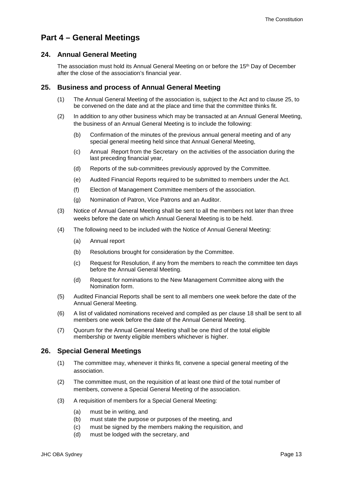# <span id="page-13-0"></span>**Part 4 – General Meetings**

# <span id="page-13-1"></span>**24. Annual General Meeting**

The association must hold its Annual General Meeting on or before the 15<sup>th</sup> Day of December after the close of the association's financial year.

# <span id="page-13-2"></span>**25. Business and process of Annual General Meeting**

- (1) The Annual General Meeting of the association is, subject to the Act and to clause 25, to be convened on the date and at the place and time that the committee thinks fit.
- (2) In addition to any other business which may be transacted at an Annual General Meeting, the business of an Annual General Meeting is to include the following:
	- (b) Confirmation of the minutes of the previous annual general meeting and of any special general meeting held since that Annual General Meeting,
	- (c) Annual Report from the Secretary on the activities of the association during the last preceding financial year,
	- (d) Reports of the sub-committees previously approved by the Committee.
	- (e) Audited Financial Reports required to be submitted to members under the Act.
	- (f) Election of Management Committee members of the association.
	- (g) Nomination of Patron, Vice Patrons and an Auditor.
- (3) Notice of Annual General Meeting shall be sent to all the members not later than three weeks before the date on which Annual General Meeting is to be held.
- (4) The following need to be included with the Notice of Annual General Meeting:
	- (a) Annual report
	- (b) Resolutions brought for consideration by the Committee.
	- (c) Request for Resolution, if any from the members to reach the committee ten days before the Annual General Meeting.
	- (d) Request for nominations to the New Management Committee along with the Nomination form.
- (5) Audited Financial Reports shall be sent to all members one week before the date of the Annual General Meeting.
- (6) A list of validated nominations received and compiled as per clause 18 shall be sent to all members one week before the date of the Annual General Meeting.
- (7) Quorum for the Annual General Meeting shall be one third of the total eligible membership or twenty eligible members whichever is higher.

# <span id="page-13-3"></span>**26. Special General Meetings**

- (1) The committee may, whenever it thinks fit, convene a special general meeting of the association.
- (2) The committee must, on the requisition of at least one third of the total number of members, convene a Special General Meeting of the association.
- (3) A requisition of members for a Special General Meeting:
	- (a) must be in writing, and
	- (b) must state the purpose or purposes of the meeting, and
	- (c) must be signed by the members making the requisition, and
	- (d) must be lodged with the secretary, and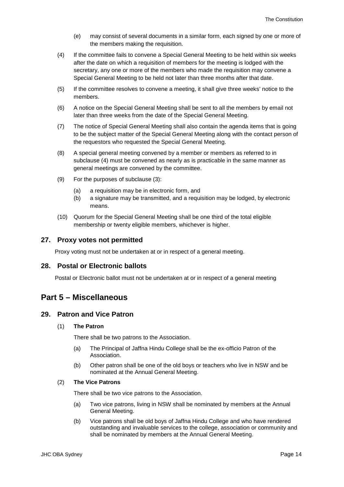- (e) may consist of several documents in a similar form, each signed by one or more of the members making the requisition.
- (4) If the committee fails to convene a Special General Meeting to be held within six weeks after the date on which a requisition of members for the meeting is lodged with the secretary, any one or more of the members who made the requisition may convene a Special General Meeting to be held not later than three months after that date.
- (5) If the committee resolves to convene a meeting, it shall give three weeks' notice to the members.
- (6) A notice on the Special General Meeting shall be sent to all the members by email not later than three weeks from the date of the Special General Meeting.
- (7) The notice of Special General Meeting shall also contain the agenda items that is going to be the subject matter of the Special General Meeting along with the contact person of the requestors who requested the Special General Meeting.
- (8) A special general meeting convened by a member or members as referred to in subclause (4) must be convened as nearly as is practicable in the same manner as general meetings are convened by the committee.
- (9) For the purposes of subclause (3):
	- (a) a requisition may be in electronic form, and
	- (b) a signature may be transmitted, and a requisition may be lodged, by electronic means.
- (10) Quorum for the Special General Meeting shall be one third of the total eligible membership or twenty eligible members, whichever is higher.

#### <span id="page-14-0"></span>**27. Proxy votes not permitted**

Proxy voting must not be undertaken at or in respect of a general meeting.

## <span id="page-14-1"></span>**28. Postal or Electronic ballots**

Postal or Electronic ballot must not be undertaken at or in respect of a general meeting

# <span id="page-14-2"></span>**Part 5 – Miscellaneous**

### <span id="page-14-3"></span>**29. Patron and Vice Patron**

#### (1) **The Patron**

There shall be two patrons to the Association.

- (a) The Principal of Jaffna Hindu College shall be the ex-officio Patron of the Association.
- (b) Other patron shall be one of the old boys or teachers who live in NSW and be nominated at the Annual General Meeting.

#### (2) **The Vice Patrons**

There shall be two vice patrons to the Association.

- (a) Two vice patrons, living in NSW shall be nominated by members at the Annual General Meeting.
- (b) Vice patrons shall be old boys of Jaffna Hindu College and who have rendered outstanding and invaluable services to the college, association or community and shall be nominated by members at the Annual General Meeting.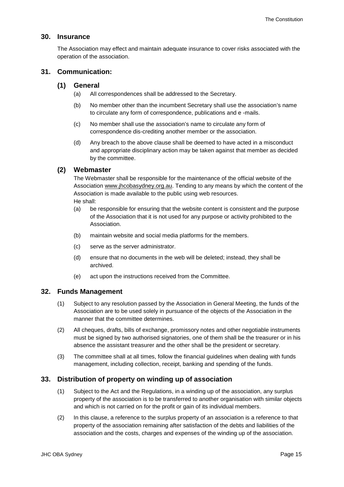# <span id="page-15-0"></span>**30. Insurance**

The Association may effect and maintain adequate insurance to cover risks associated with the operation of the association.

## <span id="page-15-1"></span>**31. Communication:**

#### **(1) General**

- (a) All correspondences shall be addressed to the Secretary.
- (b) No member other than the incumbent Secretary shall use the association's name to circulate any form of correspondence, publications and e -mails.
- (c) No member shall use the association's name to circulate any form of correspondence dis-crediting another member or the association.
- (d) Any breach to the above clause shall be deemed to have acted in a misconduct and appropriate disciplinary action may be taken against that member as decided by the committee.

# **(2) Webmaster**

The Webmaster shall be responsible for the maintenance of the official website of the Association [www.jhcobasydney.org.au.](http://www.jhcobasydney.org.au/) Tending to any means by which the content of the Association is made available to the public using web resources. He shall:

- (a) be responsible for ensuring that the website content is consistent and the purpose of the Association that it is not used for any purpose or activity prohibited to the Association.
- (b) maintain website and social media platforms for the members.
- (c) serve as the server administrator.
- (d) ensure that no documents in the web will be deleted; instead, they shall be archived.
- (e) act upon the instructions received from the Committee.

# <span id="page-15-2"></span>**32. Funds Management**

- (1) Subject to any resolution passed by the Association in General Meeting, the funds of the Association are to be used solely in pursuance of the objects of the Association in the manner that the committee determines.
- (2) All cheques, drafts, bills of exchange, promissory notes and other negotiable instruments must be signed by two authorised signatories, one of them shall be the treasurer or in his absence the assistant treasurer and the other shall be the president or secretary.
- (3) The committee shall at all times, follow the financial guidelines when dealing with funds management, including collection, receipt, banking and spending of the funds.

#### <span id="page-15-3"></span>**33. Distribution of property on winding up of association**

- (1) Subject to the Act and the Regulations, in a winding up of the association, any surplus property of the association is to be transferred to another organisation with similar objects and which is not carried on for the profit or gain of its individual members.
- (2) In this clause, a reference to the surplus property of an association is a reference to that property of the association remaining after satisfaction of the debts and liabilities of the association and the costs, charges and expenses of the winding up of the association.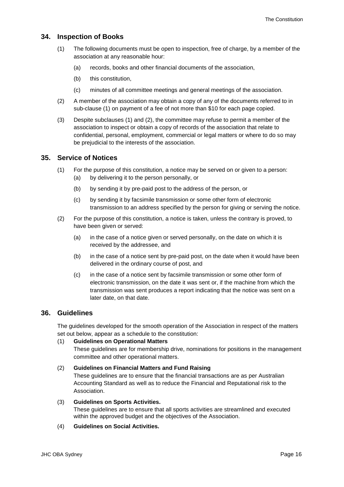# <span id="page-16-0"></span>**34. Inspection of Books**

- (1) The following documents must be open to inspection, free of charge, by a member of the association at any reasonable hour:
	- (a) records, books and other financial documents of the association,
	- (b) this constitution,
	- (c) minutes of all committee meetings and general meetings of the association.
- (2) A member of the association may obtain a copy of any of the documents referred to in sub-clause (1) on payment of a fee of not more than \$10 for each page copied.
- (3) Despite subclauses (1) and (2), the committee may refuse to permit a member of the association to inspect or obtain a copy of records of the association that relate to confidential, personal, employment, commercial or legal matters or where to do so may be prejudicial to the interests of the association.

## <span id="page-16-1"></span>**35. Service of Notices**

- (1) For the purpose of this constitution, a notice may be served on or given to a person:
	- (a) by delivering it to the person personally, or
	- (b) by sending it by pre-paid post to the address of the person, or
	- (c) by sending it by facsimile transmission or some other form of electronic transmission to an address specified by the person for giving or serving the notice.
- (2) For the purpose of this constitution, a notice is taken, unless the contrary is proved, to have been given or served:
	- (a) in the case of a notice given or served personally, on the date on which it is received by the addressee, and
	- (b) in the case of a notice sent by pre-paid post, on the date when it would have been delivered in the ordinary course of post, and
	- (c) in the case of a notice sent by facsimile transmission or some other form of electronic transmission, on the date it was sent or, if the machine from which the transmission was sent produces a report indicating that the notice was sent on a later date, on that date.

## <span id="page-16-2"></span>**36. Guidelines**

The guidelines developed for the smooth operation of the Association in respect of the matters set out below, appear as a schedule to the constitution:

#### (1) **Guidelines on Operational Matters**

These guidelines are for membership drive, nominations for positions in the management committee and other operational matters.

#### (2) **Guidelines on Financial Matters and Fund Raising**

These guidelines are to ensure that the financial transactions are as per Australian Accounting Standard as well as to reduce the Financial and Reputational risk to the Association.

#### (3) **Guidelines on Sports Activities.**

These guidelines are to ensure that all sports activities are streamlined and executed within the approved budget and the objectives of the Association.

#### (4) **Guidelines on Social Activities.**